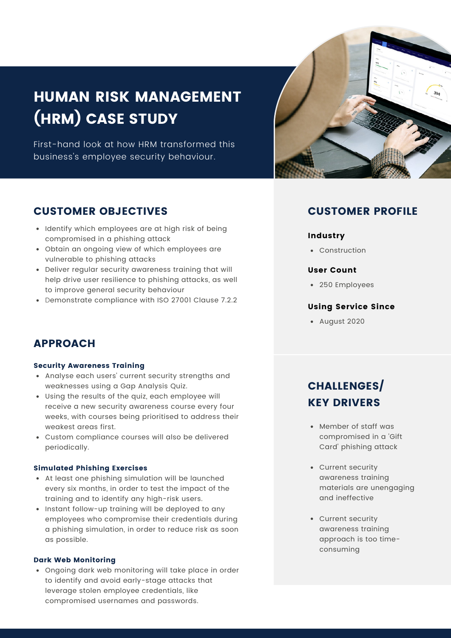# HUMAN RISK MANAGEMENT (HRM) CASE STUDY

First-hand look at how HRM transformed this business's employee security behaviour.



- Identify which employees are at high risk of being compromised in a phishing attack
- Obtain an ongoing view of which employees are vulnerable to phishing attacks
- Deliver regular security awareness training that will help drive user resilience to phishing attacks, as well to improve general security behaviour
- Demonstrate compliance with ISO 27001 Clause 7.2.2

### APPROACH

#### Security Awareness Training

- Analyse each users' current security strengths and weaknesses using a Gap Analysis Quiz.
- Using the results of the quiz, each employee will receive a new security awareness course every four weeks, with courses being prioritised to address their weakest areas first.
- Custom compliance courses will also be delivered periodically.

#### Simulated Phishing Exercises

- At least one phishing simulation will be launched every six months, in order to test the impact of the training and to identify any high-risk users.
- Instant follow-up training will be deployed to any employees who compromise their credentials during a phishing simulation, in order to reduce risk as soon as possible.

#### Dark Web Monitoring

Ongoing dark web monitoring will take place in order to identify and avoid early-stage attacks that leverage stolen employee credentials, like compromised usernames and passwords.



### CUSTOMER PROFILE

#### Industry

• Construction

#### User Count

250 Employees

#### Using Service Since

August 2020

# CHALLENGES/ **KEY DRIVERS**

- Member of staff was compromised in a 'Gift Card' phishing attack
- Current security awareness training materials are unengaging and ineffective
- Current security awareness training approach is too timeconsuming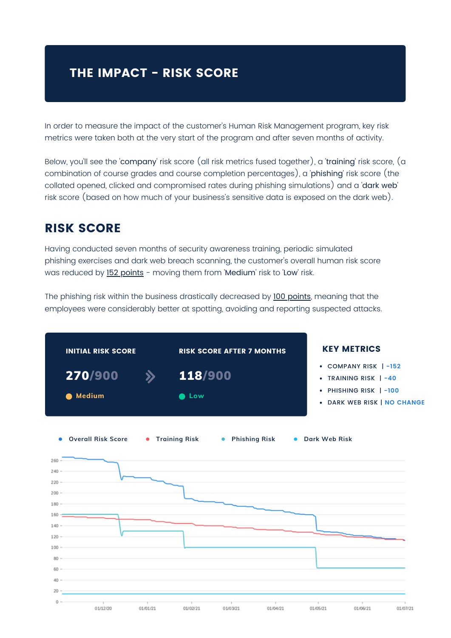# **THE IMPACT - RISK SCORE**

In order to measure the impact of the customer's Human Risk Management program, key risk metrics were taken both at the very start of the program and after seven months of activity.

Below, you'll see the 'company' risk score (all risk metrics fused together), a 'training' risk score, (a combination of course grades and course completion percentages), a 'phishing' risk score (the collated opened, clicked and compromised rates during phishing simulations) and a 'dark web' risk score (based on how much of your business's sensitive data is exposed on the dark web).

## RISK SCORE

Having conducted seven months of security awareness training, periodic simulated phishing exercises and dark web breach scanning, the customer's overall human risk score was reduced by 152 points - moving them from 'Medium' risk to 'Low' risk.

The phishing risk within the business drastically decreased by 100 points, meaning that the employees were considerably better at spotting, avoiding and reporting suspected attacks.